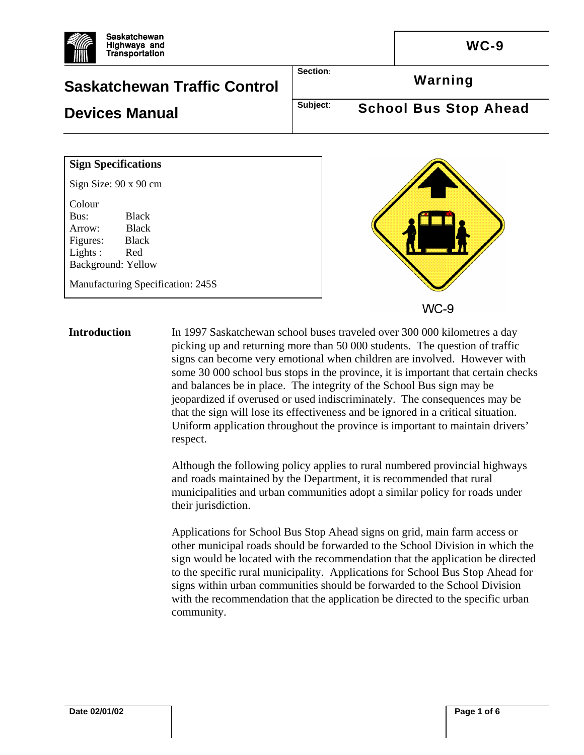



**Introduction** In 1997 Saskatchewan school buses traveled over 300 000 kilometres a day picking up and returning more than 50 000 students. The question of traffic signs can become very emotional when children are involved. However with some 30 000 school bus stops in the province, it is important that certain checks and balances be in place. The integrity of the School Bus sign may be jeopardized if overused or used indiscriminately. The consequences may be that the sign will lose its effectiveness and be ignored in a critical situation. Uniform application throughout the province is important to maintain drivers' respect.

> Although the following policy applies to rural numbered provincial highways and roads maintained by the Department, it is recommended that rural municipalities and urban communities adopt a similar policy for roads under their jurisdiction.

Applications for School Bus Stop Ahead signs on grid, main farm access or other municipal roads should be forwarded to the School Division in which the sign would be located with the recommendation that the application be directed to the specific rural municipality. Applications for School Bus Stop Ahead for signs within urban communities should be forwarded to the School Division with the recommendation that the application be directed to the specific urban community.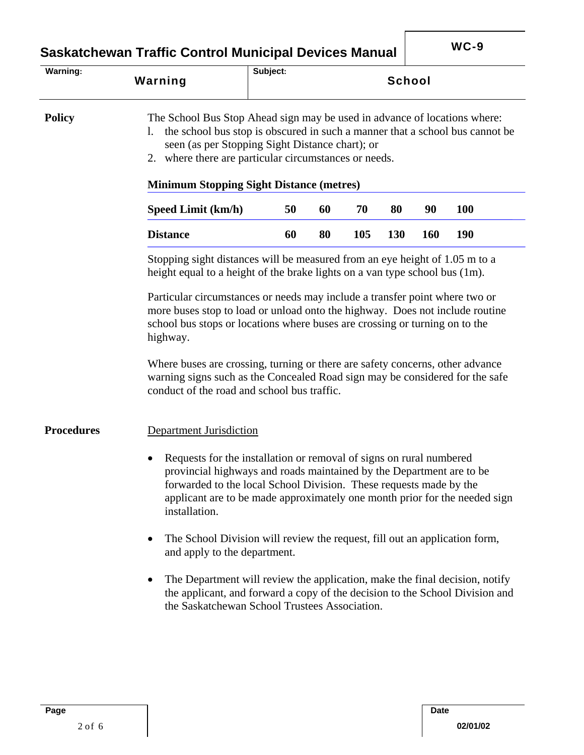**Saskatchewan Traffic Control Municipal Devices Manual | WC-9** 

| Warning:          |                                                                                                                                                                                                                                                                                                                               | Subject: |    |     |        |            |            |
|-------------------|-------------------------------------------------------------------------------------------------------------------------------------------------------------------------------------------------------------------------------------------------------------------------------------------------------------------------------|----------|----|-----|--------|------------|------------|
|                   | Warning                                                                                                                                                                                                                                                                                                                       |          |    |     | School |            |            |
| <b>Policy</b>     | The School Bus Stop Ahead sign may be used in advance of locations where:<br>the school bus stop is obscured in such a manner that a school bus cannot be<br>1.<br>seen (as per Stopping Sight Distance chart); or<br>2. where there are particular circumstances or needs.                                                   |          |    |     |        |            |            |
|                   | <b>Minimum Stopping Sight Distance (metres)</b><br>70<br><b>100</b><br>Speed Limit (km/h)<br>50<br>60<br>80<br>90                                                                                                                                                                                                             |          |    |     |        |            |            |
|                   | <b>Distance</b>                                                                                                                                                                                                                                                                                                               | 60       | 80 | 105 | 130    | <b>160</b> | <b>190</b> |
|                   | Stopping sight distances will be measured from an eye height of 1.05 m to a<br>height equal to a height of the brake lights on a van type school bus (1m).                                                                                                                                                                    |          |    |     |        |            |            |
|                   | Particular circumstances or needs may include a transfer point where two or<br>more buses stop to load or unload onto the highway. Does not include routine<br>school bus stops or locations where buses are crossing or turning on to the<br>highway.                                                                        |          |    |     |        |            |            |
|                   | Where buses are crossing, turning or there are safety concerns, other advance<br>warning signs such as the Concealed Road sign may be considered for the safe<br>conduct of the road and school bus traffic.                                                                                                                  |          |    |     |        |            |            |
| <b>Procedures</b> | <b>Department Jurisdiction</b>                                                                                                                                                                                                                                                                                                |          |    |     |        |            |            |
|                   | Requests for the installation or removal of signs on rural numbered<br>$\bullet$<br>provincial highways and roads maintained by the Department are to be<br>forwarded to the local School Division. These requests made by the<br>applicant are to be made approximately one month prior for the needed sign<br>installation. |          |    |     |        |            |            |
|                   | The School Division will review the request, fill out an application form,<br>and apply to the department.                                                                                                                                                                                                                    |          |    |     |        |            |            |
|                   | The Department will review the application, make the final decision, notify<br>٠<br>the applicant, and forward a copy of the decision to the School Division and<br>the Saskatchewan School Trustees Association.                                                                                                             |          |    |     |        |            |            |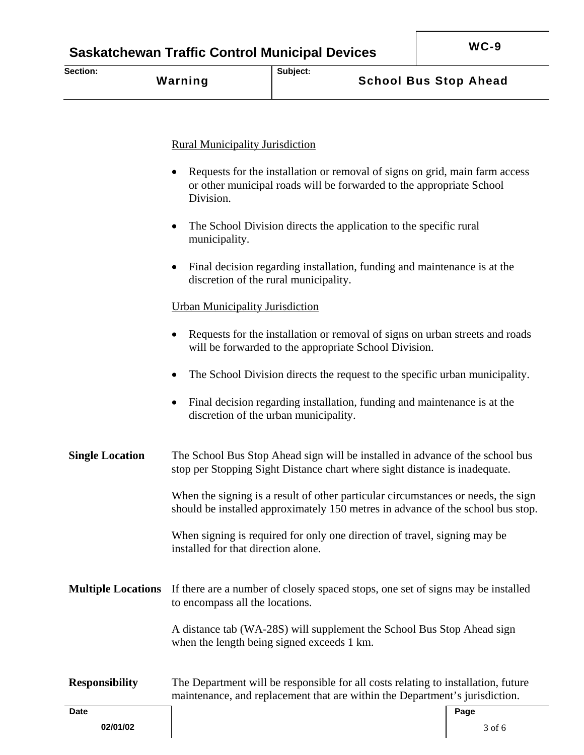| Section: | Warning | Subject: | <b>School Bus Stop Ahead</b> |
|----------|---------|----------|------------------------------|
|          |         |          |                              |

#### Rural Municipality Jurisdiction

- Requests for the installation or removal of signs on grid, main farm access or other municipal roads will be forwarded to the appropriate School Division.
- The School Division directs the application to the specific rural municipality.
- Final decision regarding installation, funding and maintenance is at the discretion of the rural municipality.

#### Urban Municipality Jurisdiction

- Requests for the installation or removal of signs on urban streets and roads will be forwarded to the appropriate School Division.
- The School Division directs the request to the specific urban municipality.
- Final decision regarding installation, funding and maintenance is at the discretion of the urban municipality.

**Single Location** The School Bus Stop Ahead sign will be installed in advance of the school bus stop per Stopping Sight Distance chart where sight distance is inadequate.

> When the signing is a result of other particular circumstances or needs, the sign should be installed approximately 150 metres in advance of the school bus stop.

When signing is required for only one direction of travel, signing may be installed for that direction alone.

**Multiple Locations** If there are a number of closely spaced stops, one set of signs may be installed to encompass all the locations.

> A distance tab (WA-28S) will supplement the School Bus Stop Ahead sign when the length being signed exceeds 1 km.

### **Responsibility** The Department will be responsible for all costs relating to installation, future maintenance, and replacement that are within the Department's jurisdiction.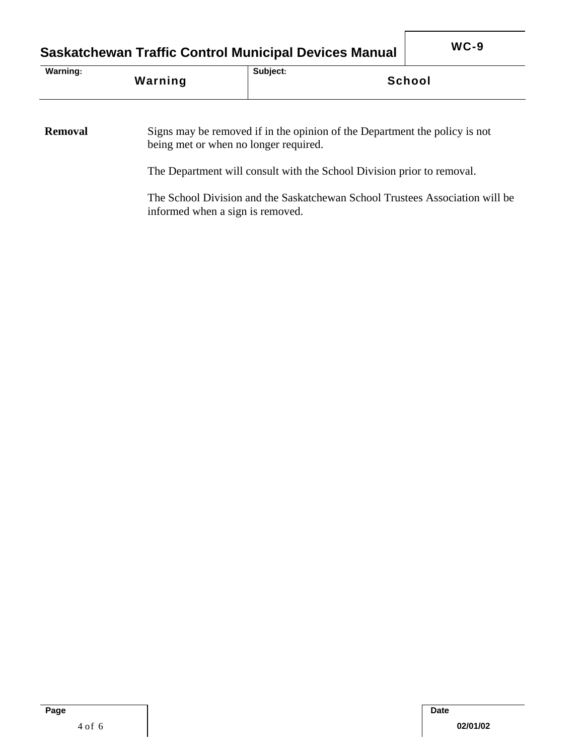# **Saskatchewan Traffic Control Municipal Devices Manual WC-9**

| Warning: | Subject:      |
|----------|---------------|
| Warning  | <b>School</b> |

#### **Removal** Signs may be removed if in the opinion of the Department the policy is not being met or when no longer required.

The Department will consult with the School Division prior to removal.

The School Division and the Saskatchewan School Trustees Association will be informed when a sign is removed.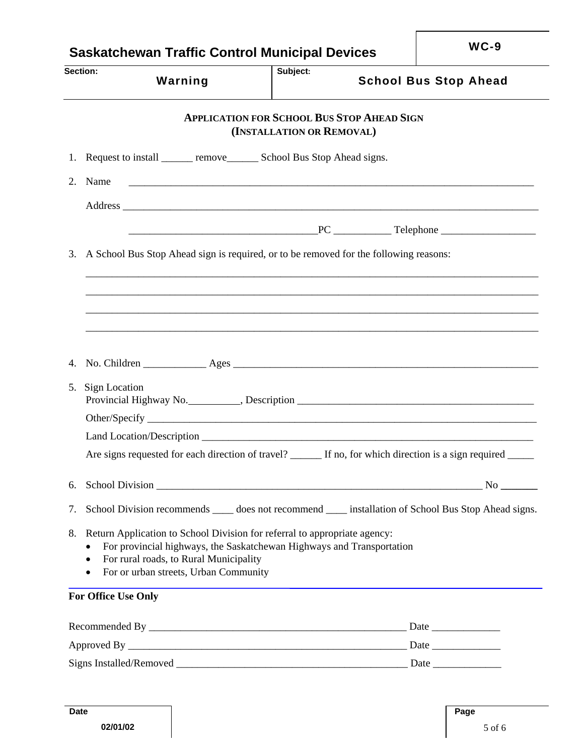| <b>Saskatchewan Traffic Control Municipal Devices</b> |                                                                                                                                                                                                                                       |                                                                                | $WC-9$ |                              |
|-------------------------------------------------------|---------------------------------------------------------------------------------------------------------------------------------------------------------------------------------------------------------------------------------------|--------------------------------------------------------------------------------|--------|------------------------------|
| Section:                                              | Warning                                                                                                                                                                                                                               | Subject:                                                                       |        | <b>School Bus Stop Ahead</b> |
|                                                       |                                                                                                                                                                                                                                       | <b>APPLICATION FOR SCHOOL BUS STOP AHEAD SIGN</b><br>(INSTALLATION OR REMOVAL) |        |                              |
|                                                       | 1. Request to install ________ remove_________ School Bus Stop Ahead signs.                                                                                                                                                           |                                                                                |        |                              |
| 2. Name                                               | <u> 1999 - Jan James Barn, mars and de la provincia de la provincia de la provincia de la provincia de la provinci</u>                                                                                                                |                                                                                |        |                              |
|                                                       |                                                                                                                                                                                                                                       |                                                                                |        |                              |
|                                                       |                                                                                                                                                                                                                                       |                                                                                |        |                              |
| 3.                                                    | A School Bus Stop Ahead sign is required, or to be removed for the following reasons:                                                                                                                                                 |                                                                                |        |                              |
|                                                       |                                                                                                                                                                                                                                       |                                                                                |        |                              |
|                                                       |                                                                                                                                                                                                                                       |                                                                                |        |                              |
|                                                       |                                                                                                                                                                                                                                       |                                                                                |        |                              |
|                                                       |                                                                                                                                                                                                                                       |                                                                                |        |                              |
|                                                       |                                                                                                                                                                                                                                       |                                                                                |        |                              |
| <b>Sign Location</b><br>5.                            |                                                                                                                                                                                                                                       |                                                                                |        |                              |
|                                                       |                                                                                                                                                                                                                                       |                                                                                |        |                              |
|                                                       |                                                                                                                                                                                                                                       |                                                                                |        |                              |
|                                                       | Are signs requested for each direction of travel? ______ If no, for which direction is a sign required _____                                                                                                                          |                                                                                |        |                              |
| 6.                                                    |                                                                                                                                                                                                                                       |                                                                                |        |                              |
| 7.                                                    | School Division recommends _____ does not recommend _____ installation of School Bus Stop Ahead signs.                                                                                                                                |                                                                                |        |                              |
| 8.<br>٠<br>$\bullet$<br>$\bullet$                     | Return Application to School Division for referral to appropriate agency:<br>For provincial highways, the Saskatchewan Highways and Transportation<br>For rural roads, to Rural Municipality<br>For or urban streets, Urban Community |                                                                                |        |                              |
| <b>For Office Use Only</b>                            |                                                                                                                                                                                                                                       |                                                                                |        |                              |
|                                                       |                                                                                                                                                                                                                                       |                                                                                |        |                              |
|                                                       |                                                                                                                                                                                                                                       |                                                                                |        |                              |
|                                                       |                                                                                                                                                                                                                                       |                                                                                |        |                              |